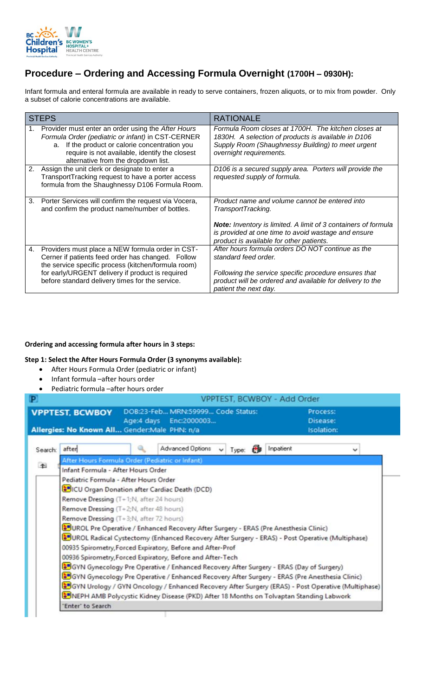

## **Procedure – Ordering and Accessing Formula Overnight (1700H – 0930H):**

Infant formula and enteral formula are available in ready to serve containers, frozen aliquots, or to mix from powder. Only a subset of calorie concentrations are available.

| <b>STEPS</b> |                                                                                                                                                                                                                                                                     | <b>RATIONALE</b>                                                                                                                                                                                                                                 |  |  |
|--------------|---------------------------------------------------------------------------------------------------------------------------------------------------------------------------------------------------------------------------------------------------------------------|--------------------------------------------------------------------------------------------------------------------------------------------------------------------------------------------------------------------------------------------------|--|--|
|              | Provider must enter an order using the After Hours<br>Formula Order (pediatric or infant) in CST-CERNER<br>If the product or calorie concentration you<br>a.<br>require is not available, identify the closest<br>alternative from the dropdown list.               | Formula Room closes at 1700H. The kitchen closes at<br>1830H. A selection of products is available in D106<br>Supply Room (Shaughnessy Building) to meet urgent<br>overnight requirements.                                                       |  |  |
|              | 2. Assign the unit clerk or designate to enter a<br>TransportTracking request to have a porter access<br>formula from the Shaughnessy D106 Formula Room.                                                                                                            | D106 is a secured supply area. Porters will provide the<br>requested supply of formula.                                                                                                                                                          |  |  |
| 3.           | Porter Services will confirm the request via Vocera,<br>and confirm the product name/number of bottles.                                                                                                                                                             | Product name and volume cannot be entered into<br>TransportTracking.<br><b>Note:</b> Inventory is limited. A limit of 3 containers of formula<br>is provided at one time to avoid wastage and ensure<br>product is available for other patients. |  |  |
| 4.           | Providers must place a NEW formula order in CST-<br>Cerner if patients feed order has changed. Follow<br>the service specific process (kitchen/formula room)<br>for early/URGENT delivery if product is required<br>before standard delivery times for the service. | After hours formula orders DO NOT continue as the<br>standard feed order.<br>Following the service specific procedure ensures that<br>product will be ordered and available for delivery to the<br>patient the next day.                         |  |  |

## **Ordering and accessing formula after hours in 3 steps:**

## **Step 1: Select the After Hours Formula Order (3 synonyms available):**

- After Hours Formula Order (pediatric or infant)
- Infant formula –after hours order
- Pediatric formula –after hours order

| P          |                                                                                                                                       | VPPTEST, BCWBOY - Add Order               |  |  |  |  |  |  |
|------------|---------------------------------------------------------------------------------------------------------------------------------------|-------------------------------------------|--|--|--|--|--|--|
|            | DOB:23-Feb MRN:59999 Code Status:<br><b>VPPTEST, BCWBOY</b><br>Age:4 days Enc:2000003<br>Allergies: No Known All Gender:Male PHN: n/a | Process:<br>Disease:<br><b>Isolation:</b> |  |  |  |  |  |  |
| Search:    | Advanced Options<br>after<br>Type:<br>$\checkmark$                                                                                    | Inpatient<br>v                            |  |  |  |  |  |  |
| $\uparrow$ | After Hours Formula Order (Pediatric or Infant)                                                                                       |                                           |  |  |  |  |  |  |
|            | Infant Formula - After Hours Order                                                                                                    |                                           |  |  |  |  |  |  |
|            | Pediatric Formula - After Hours Order                                                                                                 |                                           |  |  |  |  |  |  |
|            | <b>CU</b> Organ Donation after Cardiac Death (DCD)                                                                                    |                                           |  |  |  |  |  |  |
|            | Remove Dressing (T+1;N, after 24 hours)                                                                                               |                                           |  |  |  |  |  |  |
|            | Remove Dressing (T+2;N, after 48 hours)                                                                                               |                                           |  |  |  |  |  |  |
|            | Remove Dressing (T+3;N, after 72 hours)                                                                                               |                                           |  |  |  |  |  |  |
|            | OF UROL Pre Operative / Enhanced Recovery After Surgery - ERAS (Pre Anesthesia Clinic)                                                |                                           |  |  |  |  |  |  |
|            | UROL Radical Cystectomy (Enhanced Recovery After Surgery - ERAS) - Post Operative (Multiphase)                                        |                                           |  |  |  |  |  |  |
|            | 00935 Spirometry, Forced Expiratory, Before and After-Prof                                                                            |                                           |  |  |  |  |  |  |
|            | 00936 Spirometry, Forced Expiratory, Before and After-Tech                                                                            |                                           |  |  |  |  |  |  |
|            | GUS (Day of Surgery) Pre Operative / Enhanced Recovery After Surgery - ERAS (Day of Surgery)                                          |                                           |  |  |  |  |  |  |
|            | GUGYN Gynecology Pre Operative / Enhanced Recovery After Surgery - ERAS (Pre Anesthesia Clinic)                                       |                                           |  |  |  |  |  |  |
|            | GYN Urology / GYN Oncology / Enhanced Recovery After Surgery (ERAS) - Post Operative (Multiphase)                                     |                                           |  |  |  |  |  |  |
|            | NEPH AMB Polycystic Kidney Disease (PKD) After 18 Months on Tolvaptan Standing Labwork                                                |                                           |  |  |  |  |  |  |
|            | 'Enter' to Search                                                                                                                     |                                           |  |  |  |  |  |  |